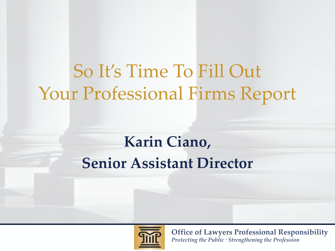# So It's Time To Fill Out Your Professional Firms Report

#### **Karin Ciano, Senior Assistant Director**

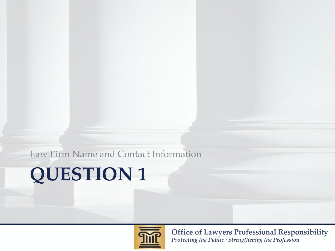Law Firm Name and Contact Information

## **QUESTION 1**

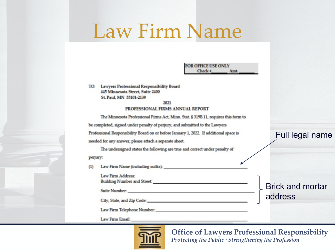# Law Firm Name

TO: Lawyers Professional Responsibility Board 445 Minnesota Street, Suite 2400 St. Paul, MN 55101-2139

#### 2021 PROFESSIONAL FIRMS ANNUAL REPORT

The Minnesota Professional Firms Act, Minn. Stat. § 319B.11, requires this form to be completed, signed under penalty of perjury, and submitted to the Lawyers Professional Responsibility Board on or before January 1, 2022. If additional space is Full legal name needed for any answer, please attach a separate sheet. The undersigned states the following are true and correct under penalty of perjury: Law Firm Name (including suffix):  $(1)$ Law Firm Address: Brick and mortar Suite Number. addressLaw Firm Email:

**FOR OFFICE USE ONLY** Check #

Amt.

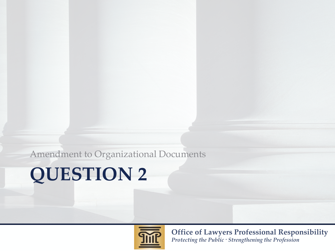Amendment to Organizational Documents

## **QUESTION 2**

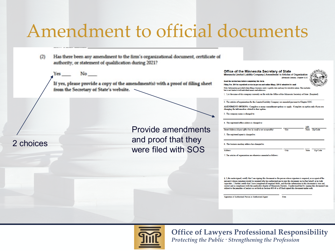### Amendment to official documents

- Has there been any amendment to the firm's organizational document, certificate of  $(2)$ authority, or statement of qualification during 2021?
	- $No$ <sub>\_\_\_</sub> Yes

2 choices

If yes, please provide a copy of the amendment(s) with a proof of filing sheet from the Secretary of State's website.

> Provide amendments and proof that they were filed with SOS

| Office of the Minnesota Secretary of State |  |  |
|--------------------------------------------|--|--|
|                                            |  |  |

Minnesota Limited Liability Company | Amendment to Articles of Organization **Minnasota Statutos Chantae 222C** 

Read the instructions before completing this form

Filing Fee: \$55 for expedited service in-person and online filings, \$35 if submitted by mail Note: Information provided when filing a business entity is public data and may be viewable online. This in hat is not limited to all individual names and addresses

I List the name of this company currently on file with the Office of the Minnesota Secretary of State: (Require

2. The articles of organization for this Limited Liability Company are amended pursuant to Chapter 322C.

AMENDMENT OPTIONS: Complete as many amendment options as apply. Complete an option only if you are changing the information related to that option.

3. The company name is changed to:

| 4. The registered office address is changed to:                |      |              |          |
|----------------------------------------------------------------|------|--------------|----------|
|                                                                |      | MN           |          |
| Street Address (A post office box by itself is not acceptable) | City | <b>State</b> | Zip Code |
| 5 The registered agent is changed to:                          |      |              |          |

6. The business mailing address has changed to:

| Address | City | <b>State</b> | Zip Code |
|---------|------|--------------|----------|
|         |      |              |          |

7. The articles of organization are otherwise amended as follows:

8. I, the undersigned, certify that I am signing this document as the person whose signature is required, or as agent of the person(s) whose signature would be required who has authorized me to sign this document on his/her behalf, or in both capacities. I further certify that I have completed all required fields, and that the information in this document is true and rect and in compliance with the applicable chapter of Minnesota Statutes. I understand that by signing this document I am subject to the penalties of perjury as set forth in Section 609.48 as if I had signed this document under oath.

Date

Signature of Authorized Person or Authorized Agent

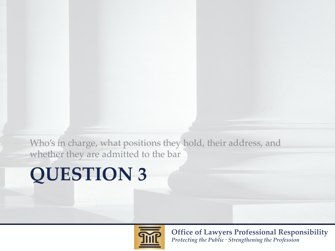Who's in charge, what positions they hold, their address, and whether they are admitted to the bar

## **QUESTION 3**

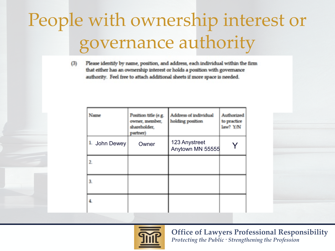# People with ownership interest or governance authority

Please identify by name, position, and address, each individual within the firm  $(3)$ that either has an ownership interest or holds a position with governance authority. Feel free to attach additional sheets if more space is needed.

| Name                | Position title (e.g.<br>owner, member,<br>shareholder,<br>partner) | Address of individual<br>holding position | Authorized<br>to practice<br>law? Y/N |
|---------------------|--------------------------------------------------------------------|-------------------------------------------|---------------------------------------|
| <b>L</b> John Dewey | Owner                                                              | 123 Anystreet<br>Anytown MN 55555         |                                       |
| 2.                  |                                                                    |                                           |                                       |
| 3.                  |                                                                    |                                           |                                       |
|                     |                                                                    |                                           |                                       |

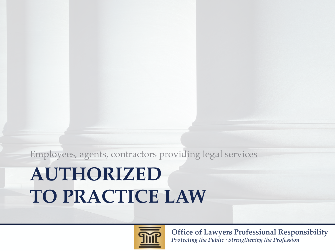**Office of Lawyers Professional Responsibility** *Protecting the Public · Strengthening the Profession*

# **AUTHORIZED TO PRACTICE LAW**

Employees, agents, contractors providing legal services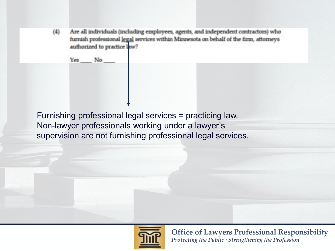$(4)$ Are all individuals (including employees, agents, and independent contractors) who furnish professional legal services within Minnesota on behalf of the firm, attorneys authorized to practice law?

Yes No

Furnishing professional legal services = practicing law. Non-lawyer professionals working under a lawyer's supervision are not furnishing professional legal services.

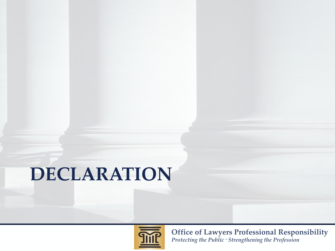# **DECLARATION**